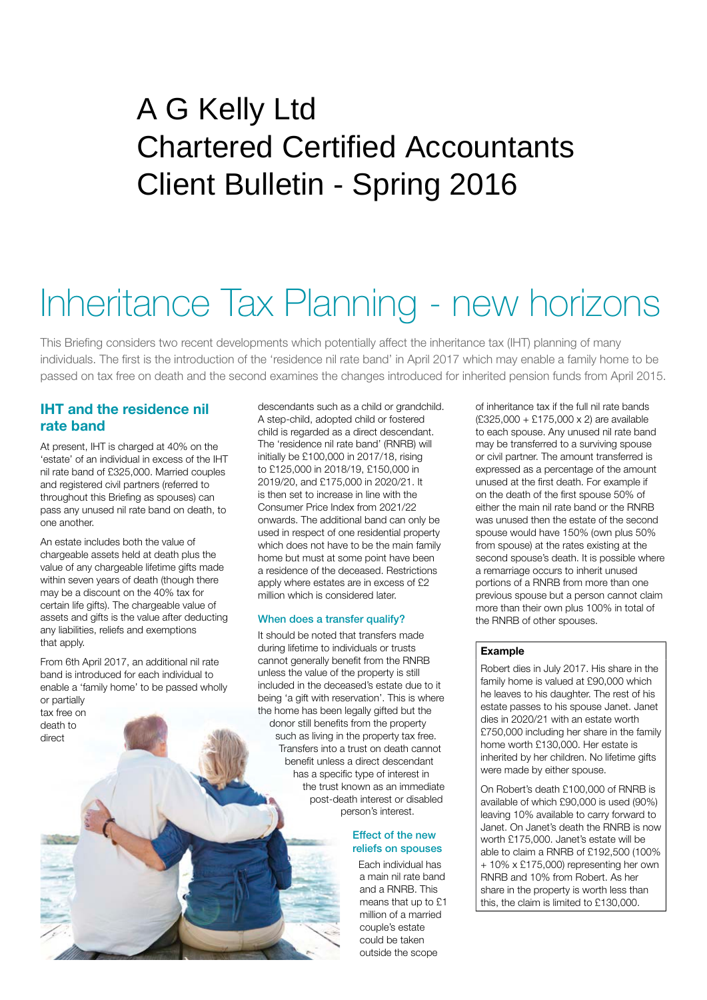# A G Kelly Ltd Chartered Certified Accountants Client Bulletin - Spring 2016

# Inheritance Tax Planning - new horizons

This Briefing considers two recent developments which potentially affect the inheritance tax (IHT) planning of many individuals. The first is the introduction of the 'residence nil rate band' in April 2017 which may enable a family home to be passed on tax free on death and the second examines the changes introduced for inherited pension funds from April 2015.

# **IHT and the residence nil rate band**

At present, IHT is charged at 40% on the 'estate' of an individual in excess of the IHT nil rate band of £325,000. Married couples and registered civil partners (referred to throughout this Briefing as spouses) can pass any unused nil rate band on death, to one another.

An estate includes both the value of chargeable assets held at death plus the value of any chargeable lifetime gifts made within seven years of death (though there may be a discount on the 40% tax for certain life gifts). The chargeable value of assets and gifts is the value after deducting any liabilities, reliefs and exemptions that apply.

From 6th April 2017, an additional nil rate band is introduced for each individual to enable a 'family home' to be passed wholly or partially

tax free on death to direct

descendants such as a child or grandchild. A step-child, adopted child or fostered child is regarded as a direct descendant. The 'residence nil rate band' (RNRB) will initially be £100,000 in 2017/18, rising to £125,000 in 2018/19, £150,000 in 2019/20, and £175,000 in 2020/21. It is then set to increase in line with the Consumer Price Index from 2021/22 onwards. The additional band can only be used in respect of one residential property which does not have to be the main family home but must at some point have been a residence of the deceased. Restrictions apply where estates are in excess of £2 million which is considered later.

# When does a transfer qualify?

It should be noted that transfers made during lifetime to individuals or trusts cannot generally benefit from the RNRB unless the value of the property is still included in the deceased's estate due to it being 'a gift with reservation'. This is where the home has been legally gifted but the donor still benefits from the property such as living in the property tax free. Transfers into a trust on death cannot benefit unless a direct descendant has a specific type of interest in the trust known as an immediate post-death interest or disabled person's interest.

# Effect of the new reliefs on spouses

Each individual has a main nil rate band and a RNRB. This means that up to £1 million of a married couple's estate could be taken outside the scope

of inheritance tax if the full nil rate bands (£325,000 + £175,000 x 2) are available to each spouse. Any unused nil rate band may be transferred to a surviving spouse or civil partner. The amount transferred is expressed as a percentage of the amount unused at the first death. For example if on the death of the first spouse 50% of either the main nil rate band or the RNRB was unused then the estate of the second spouse would have 150% (own plus 50% from spouse) at the rates existing at the second spouse's death. It is possible where a remarriage occurs to inherit unused portions of a RNRB from more than one previous spouse but a person cannot claim more than their own plus 100% in total of the RNRB of other spouses.

# **Example**

Robert dies in July 2017. His share in the family home is valued at £90,000 which he leaves to his daughter. The rest of his estate passes to his spouse Janet. Janet dies in 2020/21 with an estate worth £750,000 including her share in the family home worth £130,000. Her estate is inherited by her children. No lifetime gifts were made by either spouse.

On Robert's death £100,000 of RNRB is available of which £90,000 is used (90%) leaving 10% available to carry forward to Janet. On Janet's death the RNRB is now worth £175,000. Janet's estate will be able to claim a RNRB of £192,500 (100% + 10% x £175,000) representing her own RNRB and 10% from Robert. As her share in the property is worth less than this, the claim is limited to £130,000.